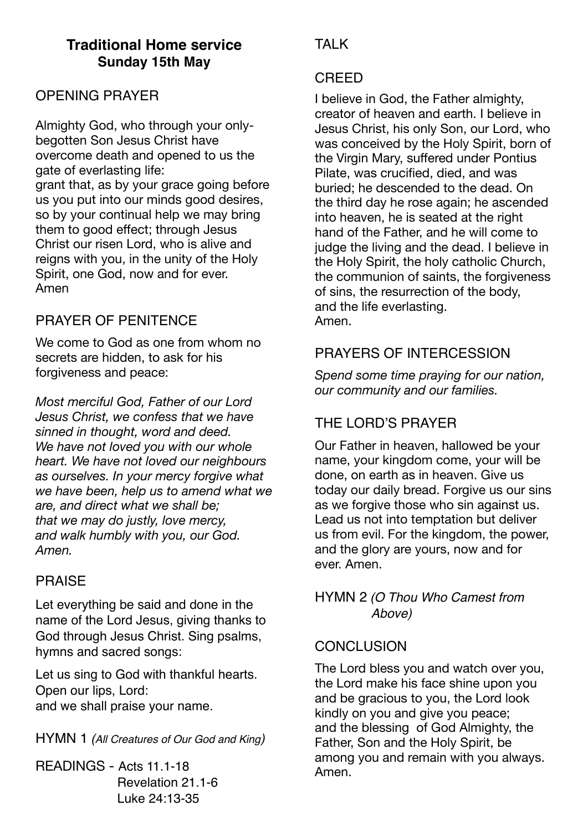# **Traditional Home service Sunday 15th May**

#### OPENING PRAYER

Almighty God, who through your onlybegotten Son Jesus Christ have overcome death and opened to us the gate of everlasting life: grant that, as by your grace going before us you put into our minds good desires, so by your continual help we may bring them to good effect; through Jesus Christ our risen Lord, who is alive and reigns with you, in the unity of the Holy Spirit, one God, now and for ever. Amen

### PRAYER OF PENITENCE

We come to God as one from whom no secrets are hidden, to ask for his forgiveness and peace:

*Most merciful God, Father of our Lord Jesus Christ, we confess that we have sinned in thought, word and deed. We have not loved you with our whole heart. We have not loved our neighbours as ourselves. In your mercy forgive what we have been, help us to amend what we are, and direct what we shall be; that we may do justly, love mercy, and walk humbly with you, our God. Amen.* 

### PRAISE

Let everything be said and done in the name of the Lord Jesus, giving thanks to God through Jesus Christ. Sing psalms, hymns and sacred songs:

Let us sing to God with thankful hearts. Open our lips, Lord: and we shall praise your name.

HYMN 1 *(All Creatures of Our God and King)*

READINGS - Acts 11.1-18 Revelation 21.1-6 Luke 24:13-35

# **TAI K**

#### CREED

I believe in God, the Father almighty, creator of heaven and earth. I believe in Jesus Christ, his only Son, our Lord, who was conceived by the Holy Spirit, born of the Virgin Mary, suffered under Pontius Pilate, was crucified, died, and was buried; he descended to the dead. On the third day he rose again; he ascended into heaven, he is seated at the right hand of the Father, and he will come to judge the living and the dead. I believe in the Holy Spirit, the holy catholic Church, the communion of saints, the forgiveness of sins, the resurrection of the body, and the life everlasting. Amen.

# PRAYERS OF INTERCESSION

*Spend some time praying for our nation, our community and our families.* 

# THE LORD'S PRAYER

Our Father in heaven, hallowed be your name, your kingdom come, your will be done, on earth as in heaven. Give us today our daily bread. Forgive us our sins as we forgive those who sin against us. Lead us not into temptation but deliver us from evil. For the kingdom, the power, and the glory are yours, now and for ever. Amen.

HYMN 2 *(O Thou Who Camest from Above)*

### **CONCLUSION**

The Lord bless you and watch over you, the Lord make his face shine upon you and be gracious to you, the Lord look kindly on you and give you peace; and the blessing of God Almighty, the Father, Son and the Holy Spirit, be among you and remain with you always. Amen.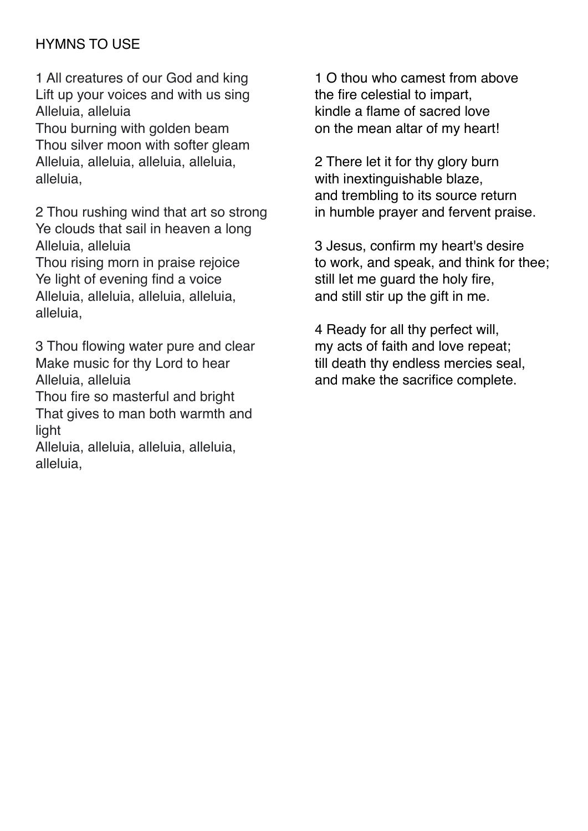## HYMNS TO USE

1 All creatures of our God and king Lift up your voices and with us sing Alleluia, alleluia

Thou burning with golden beam Thou silver moon with softer gleam Alleluia, alleluia, alleluia, alleluia, alleluia,

2 Thou rushing wind that art so strong Ye clouds that sail in heaven a long Alleluia, alleluia Thou rising morn in praise rejoice Ye light of evening find a voice Alleluia, alleluia, alleluia, alleluia, alleluia,

3 Thou flowing water pure and clear Make music for thy Lord to hear Alleluia, alleluia Thou fire so masterful and bright

That gives to man both warmth and light

Alleluia, alleluia, alleluia, alleluia, alleluia,

1 O thou who camest from above the fire celestial to impart, kindle a flame of sacred love on the mean altar of my heart!

2 There let it for thy glory burn with inextinguishable blaze, and trembling to its source return in humble prayer and fervent praise.

3 Jesus, confirm my heart's desire to work, and speak, and think for thee; still let me guard the holy fire, and still stir up the gift in me.

4 Ready for all thy perfect will, my acts of faith and love repeat; till death thy endless mercies seal, and make the sacrifice complete.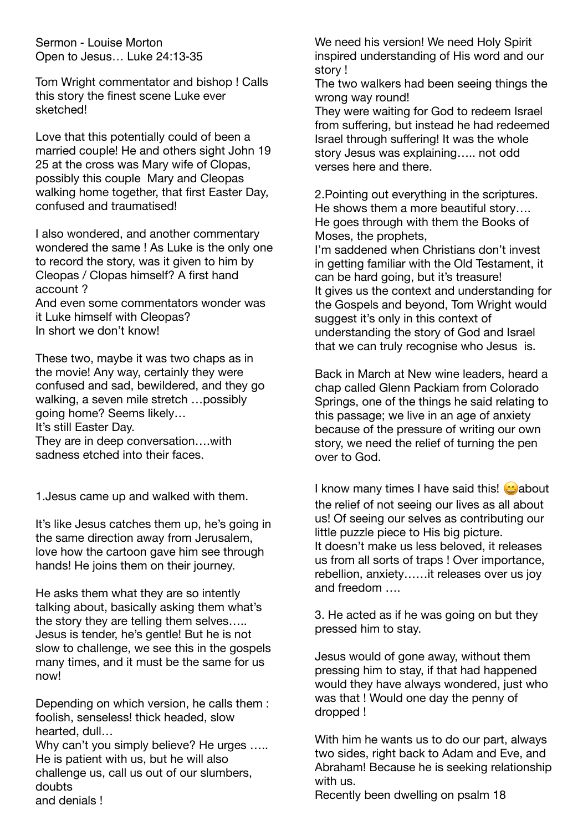Sermon - Louise Morton Open to Jesus… Luke 24:13-35

Tom Wright commentator and bishop ! Calls this story the finest scene Luke ever sketched!

Love that this potentially could of been a married couple! He and others sight John 19 25 at the cross was Mary wife of Clopas, possibly this couple Mary and Cleopas walking home together, that first Easter Day, confused and traumatised!

I also wondered, and another commentary wondered the same ! As Luke is the only one to record the story, was it given to him by Cleopas / Clopas himself? A first hand account ?

And even some commentators wonder was it Luke himself with Cleopas? In short we don't know!

These two, maybe it was two chaps as in the movie! Any way, certainly they were confused and sad, bewildered, and they go walking, a seven mile stretch …possibly going home? Seems likely… It's still Easter Day.

They are in deep conversation….with sadness etched into their faces.

1.Jesus came up and walked with them.

It's like Jesus catches them up, he's going in the same direction away from Jerusalem, love how the cartoon gave him see through hands! He joins them on their journey.

He asks them what they are so intently talking about, basically asking them what's the story they are telling them selves….. Jesus is tender, he's gentle! But he is not slow to challenge, we see this in the gospels many times, and it must be the same for us now!

Depending on which version, he calls them : foolish, senseless! thick headed, slow hearted, dull…

Why can't you simply believe? He urges ..... He is patient with us, but he will also challenge us, call us out of our slumbers, doubts and denials !

We need his version! We need Holy Spirit inspired understanding of His word and our story !

The two walkers had been seeing things the wrong way round!

They were waiting for God to redeem Israel from suffering, but instead he had redeemed Israel through suffering! It was the whole story Jesus was explaining….. not odd verses here and there.

2.Pointing out everything in the scriptures. He shows them a more beautiful story…. He goes through with them the Books of Moses, the prophets,

I'm saddened when Christians don't invest in getting familiar with the Old Testament, it can be hard going, but it's treasure! It gives us the context and understanding for the Gospels and beyond, Tom Wright would suggest it's only in this context of understanding the story of God and Israel that we can truly recognise who Jesus is.

Back in March at New wine leaders, heard a chap called Glenn Packiam from Colorado Springs, one of the things he said relating to this passage; we live in an age of anxiety because of the pressure of writing our own story, we need the relief of turning the pen over to God.

I know many times I have said this!  $\bigcirc$  about the relief of not seeing our lives as all about us! Of seeing our selves as contributing our little puzzle piece to His big picture. It doesn't make us less beloved, it releases us from all sorts of traps ! Over importance, rebellion, anxiety……it releases over us joy and freedom ….

3. He acted as if he was going on but they pressed him to stay.

Jesus would of gone away, without them pressing him to stay, if that had happened would they have always wondered, just who was that ! Would one day the penny of dropped !

With him he wants us to do our part, always two sides, right back to Adam and Eve, and Abraham! Because he is seeking relationship with us.

Recently been dwelling on psalm 18